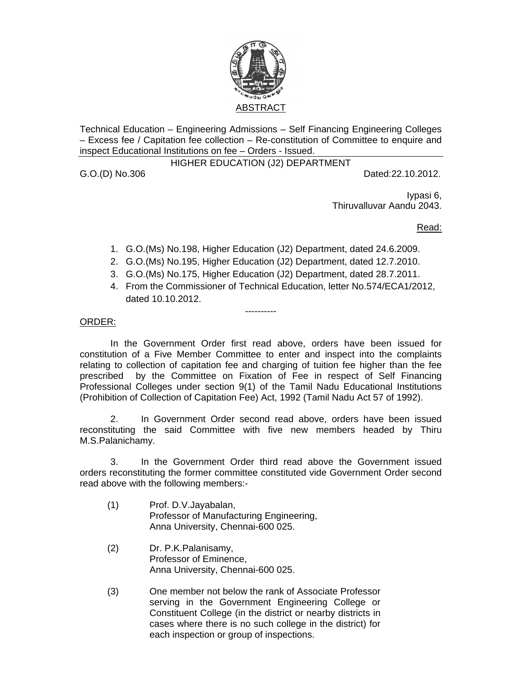

Technical Education – Engineering Admissions – Self Financing Engineering Colleges – Excess fee / Capitation fee collection – Re-constitution of Committee to enquire and inspect Educational Institutions on fee – Orders - Issued.

### HIGHER EDUCATION (J2) DEPARTMENT

G.O.(D) No.306 Dated:22.10.2012.

Iypasi 6, Thiruvalluvar Aandu 2043.

Read:

- 1. G.O.(Ms) No.198, Higher Education (J2) Department, dated 24.6.2009.
- 2. G.O.(Ms) No.195, Higher Education (J2) Department, dated 12.7.2010.
- 3. G.O.(Ms) No.175, Higher Education (J2) Department, dated 28.7.2011.

----------

4. From the Commissioner of Technical Education, letter No.574/ECA1/2012, dated 10.10.2012.

## ORDER:

 In the Government Order first read above, orders have been issued for constitution of a Five Member Committee to enter and inspect into the complaints relating to collection of capitation fee and charging of tuition fee higher than the fee prescribed by the Committee on Fixation of Fee in respect of Self Financing Professional Colleges under section 9(1) of the Tamil Nadu Educational Institutions (Prohibition of Collection of Capitation Fee) Act, 1992 (Tamil Nadu Act 57 of 1992).

 2. In Government Order second read above, orders have been issued reconstituting the said Committee with five new members headed by Thiru M.S.Palanichamy.

 3. In the Government Order third read above the Government issued orders reconstituting the former committee constituted vide Government Order second read above with the following members:-

- (1) Prof. D.V.Jayabalan, Professor of Manufacturing Engineering, Anna University, Chennai-600 025.
- (2) Dr. P.K.Palanisamy, Professor of Eminence, Anna University, Chennai-600 025.
- (3) One member not below the rank of Associate Professor serving in the Government Engineering College or Constituent College (in the district or nearby districts in cases where there is no such college in the district) for each inspection or group of inspections.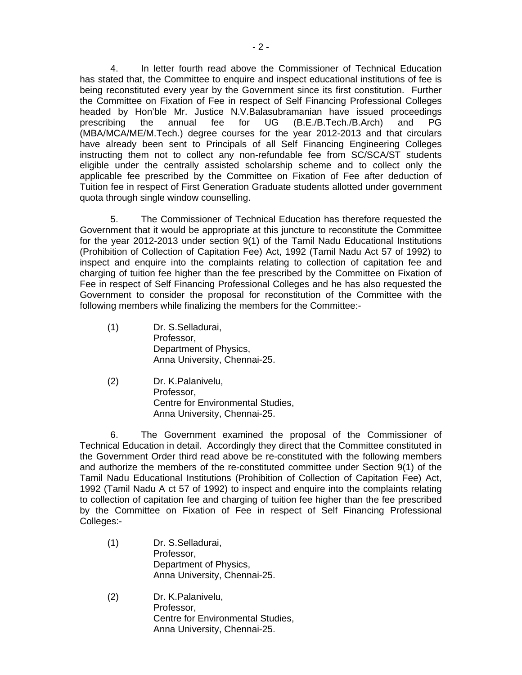4. In letter fourth read above the Commissioner of Technical Education has stated that, the Committee to enquire and inspect educational institutions of fee is being reconstituted every year by the Government since its first constitution. Further the Committee on Fixation of Fee in respect of Self Financing Professional Colleges headed by Hon'ble Mr. Justice N.V.Balasubramanian have issued proceedings prescribing the annual fee for UG (B.E./B.Tech./B.Arch) and PG (MBA/MCA/ME/M.Tech.) degree courses for the year 2012-2013 and that circulars have already been sent to Principals of all Self Financing Engineering Colleges instructing them not to collect any non-refundable fee from SC/SCA/ST students eligible under the centrally assisted scholarship scheme and to collect only the applicable fee prescribed by the Committee on Fixation of Fee after deduction of Tuition fee in respect of First Generation Graduate students allotted under government quota through single window counselling.

 5. The Commissioner of Technical Education has therefore requested the Government that it would be appropriate at this juncture to reconstitute the Committee for the year 2012-2013 under section 9(1) of the Tamil Nadu Educational Institutions (Prohibition of Collection of Capitation Fee) Act, 1992 (Tamil Nadu Act 57 of 1992) to inspect and enquire into the complaints relating to collection of capitation fee and charging of tuition fee higher than the fee prescribed by the Committee on Fixation of Fee in respect of Self Financing Professional Colleges and he has also requested the Government to consider the proposal for reconstitution of the Committee with the following members while finalizing the members for the Committee:-

- (1) Dr. S.Selladurai, Professor, Department of Physics, Anna University, Chennai-25.
- (2) Dr. K.Palanivelu, Professor, Centre for Environmental Studies, Anna University, Chennai-25.

 6. The Government examined the proposal of the Commissioner of Technical Education in detail. Accordingly they direct that the Committee constituted in the Government Order third read above be re-constituted with the following members and authorize the members of the re-constituted committee under Section 9(1) of the Tamil Nadu Educational Institutions (Prohibition of Collection of Capitation Fee) Act, 1992 (Tamil Nadu A ct 57 of 1992) to inspect and enquire into the complaints relating to collection of capitation fee and charging of tuition fee higher than the fee prescribed by the Committee on Fixation of Fee in respect of Self Financing Professional Colleges:-

- (1) Dr. S.Selladurai, Professor, Department of Physics, Anna University, Chennai-25.
- (2) Dr. K.Palanivelu, Professor, Centre for Environmental Studies, Anna University, Chennai-25.